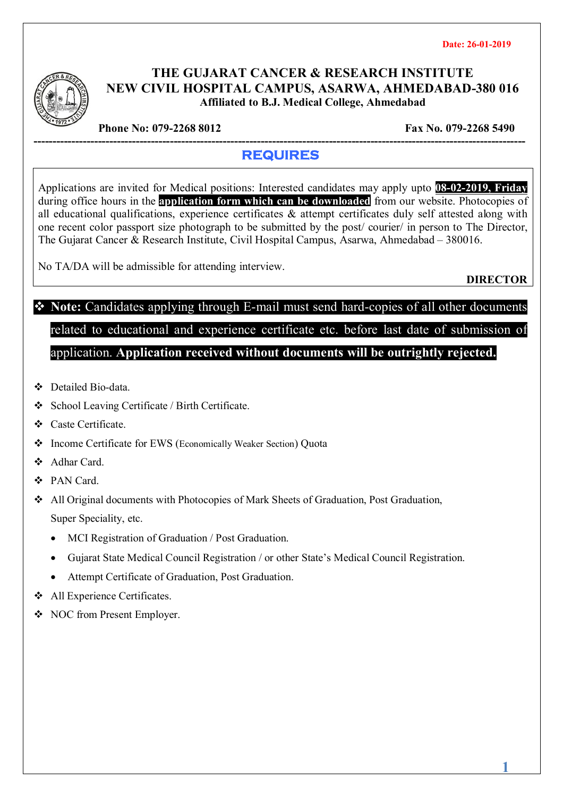

#### **THE GUJARAT CANCER & RESEARCH INSTITUTE NEW CIVIL HOSPITAL CAMPUS, ASARWA, AHMEDABAD-380 016 Affiliated to B.J. Medical College, Ahmedabad**

**Phone No: 079-2268 8012** Fax No. 079-2268 5490

#### **---------------------------------------------------------------------------------------------------------------------------------- REQUIRES**

Applications are invited for Medical positions: Interested candidates may apply upto **08-02-2019, Friday** during office hours in the **application form which can be downloaded** from our website. Photocopies of all educational qualifications, experience certificates & attempt certificates duly self attested along with one recent color passport size photograph to be submitted by the post/ courier/ in person to The Director, The Gujarat Cancer & Research Institute, Civil Hospital Campus, Asarwa, Ahmedabad – 380016.

No TA/DA will be admissible for attending interview.

**DIRECTOR**

**1**

# **Note:** Candidates applying through E-mail must send hard-copies of all other documents related to educational and experience certificate etc. before last date of submission of application. **Application received without documents will be outrightly rejected.**

- Detailed Bio-data.
- School Leaving Certificate / Birth Certificate.
- Caste Certificate.
- Income Certificate for EWS (Economically Weaker Section) Quota
- ❖ Adhar Card
- PAN Card.
- All Original documents with Photocopies of Mark Sheets of Graduation, Post Graduation, Super Speciality, etc.
	- MCI Registration of Graduation / Post Graduation.
	- Gujarat State Medical Council Registration / or other State's Medical Council Registration.
	- Attempt Certificate of Graduation, Post Graduation.
- All Experience Certificates.
- NOC from Present Employer.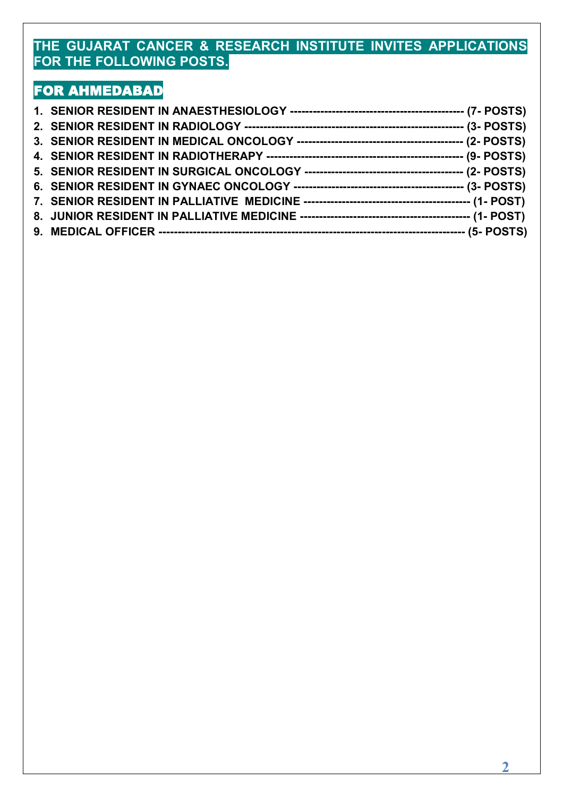### **THE GUJARAT CANCER & RESEARCH INSTITUTE INVITES APPLICATIONS FOR THE FOLLOWING POSTS.**

## **FOR AHMEDABAD**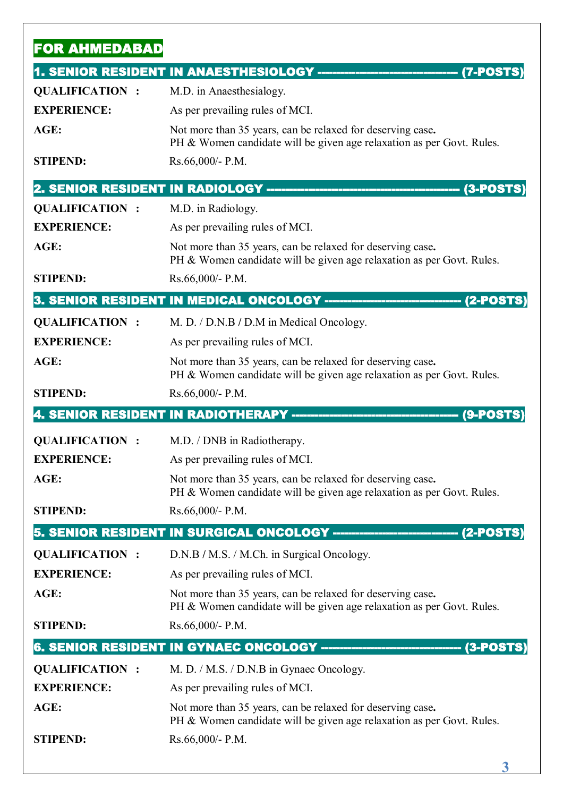| <b>FOR AHMEDABAD</b>  |                                                                                                                                     |
|-----------------------|-------------------------------------------------------------------------------------------------------------------------------------|
|                       | 1. SENIOR RESIDENT IN ANAESTHESIOLOGY -------<br>(7-POSTS                                                                           |
| <b>QUALIFICATION:</b> | M.D. in Anaesthesialogy.                                                                                                            |
| <b>EXPERIENCE:</b>    | As per prevailing rules of MCI.                                                                                                     |
| AGE:                  | Not more than 35 years, can be relaxed for deserving case.<br>PH & Women candidate will be given age relaxation as per Govt. Rules. |
| <b>STIPEND:</b>       | Rs.66,000/- P.M.                                                                                                                    |
|                       | 2. SENIOR RESIDENT IN RADIOLOGY ------------------------------<br>--------------------(3-POSTS                                      |
| <b>QUALIFICATION:</b> | M.D. in Radiology.                                                                                                                  |
| <b>EXPERIENCE:</b>    | As per prevailing rules of MCI.                                                                                                     |
| AGE:                  | Not more than 35 years, can be relaxed for deserving case.<br>PH & Women candidate will be given age relaxation as per Govt. Rules. |
| <b>STIPEND:</b>       | Rs.66,000/- P.M.                                                                                                                    |
|                       | 3. SENIOR RESIDENT IN MEDICAL ONCOLOGY -------------<br>------------(2-POST                                                         |
| <b>QUALIFICATION:</b> | M. D. / D.N.B / D.M in Medical Oncology.                                                                                            |
| <b>EXPERIENCE:</b>    | As per prevailing rules of MCI.                                                                                                     |
| AGE:                  | Not more than 35 years, can be relaxed for deserving case.<br>PH & Women candidate will be given age relaxation as per Govt. Rules. |
| <b>STIPEND:</b>       | $Rs.66,000 - P.M.$                                                                                                                  |
|                       | 4. SENIOR RESIDENT IN RADIOTHERAPY -----------<br>---------------- (9-POST                                                          |
| <b>QUALIFICATION:</b> | M.D. / DNB in Radiotherapy.                                                                                                         |
| <b>EXPERIENCE:</b>    | As per prevailing rules of MCI.                                                                                                     |
| AGE:                  | Not more than 35 years, can be relaxed for deserving case.<br>PH & Women candidate will be given age relaxation as per Govt. Rules. |
| <b>STIPEND:</b>       | Rs.66,000/- P.M.                                                                                                                    |
|                       | 5. SENIOR RESIDENT IN SURGICAL ONCOLOGY ------------------------------- (2-POSTS)                                                   |
| <b>QUALIFICATION:</b> | D.N.B / M.S. / M.Ch. in Surgical Oncology.                                                                                          |
| <b>EXPERIENCE:</b>    | As per prevailing rules of MCI.                                                                                                     |
| AGE:                  | Not more than 35 years, can be relaxed for deserving case.<br>PH & Women candidate will be given age relaxation as per Govt. Rules. |
| <b>STIPEND:</b>       | $Rs.66,000/- P.M.$                                                                                                                  |
|                       | 6. SENIOR RESIDENT IN GYNAEC ONCOLOGY ---------------------------------- (3-POSTS)                                                  |
| <b>QUALIFICATION:</b> | M. D. / M.S. / D.N.B in Gynaec Oncology.                                                                                            |
| <b>EXPERIENCE:</b>    | As per prevailing rules of MCI.                                                                                                     |
| AGE:                  | Not more than 35 years, can be relaxed for deserving case.<br>PH & Women candidate will be given age relaxation as per Govt. Rules. |
|                       |                                                                                                                                     |

**3**